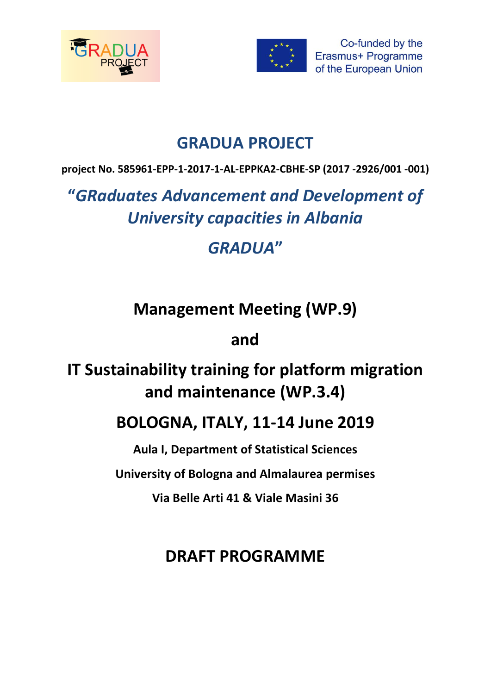



Co-funded by the Erasmus+ Programme of the European Union

## **GRADUA PROJECT**

**project No. 585961-EPP-1-2017-1-AL-EPPKA2-CBHE-SP (2017 -2926/001 -001)**

# **"***GRaduates Advancement and Development of University capacities in Albania*

# *GRADUA***"**

# **Management Meeting (WP.9)**

## **and**

# **IT Sustainability training for platform migration and maintenance (WP.3.4)**

## **BOLOGNA, ITALY, 11-14 June 2019**

**Aula I, Department of Statistical Sciences** 

**University of Bologna and Almalaurea permises** 

**Via Belle Arti 41 & Viale Masini 36**

## **DRAFT PROGRAMME**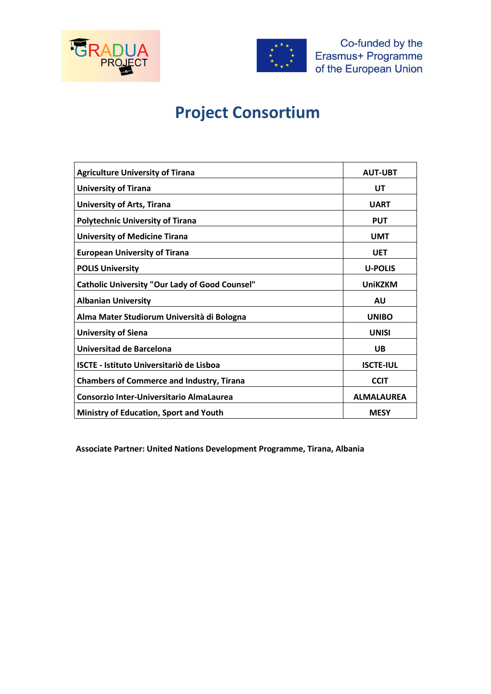



## **Project Consortium**

| <b>Agriculture University of Tirana</b>               | <b>AUT-UBT</b>    |
|-------------------------------------------------------|-------------------|
| <b>University of Tirana</b>                           | UT                |
| <b>University of Arts, Tirana</b>                     | <b>UART</b>       |
| <b>Polytechnic University of Tirana</b>               | <b>PUT</b>        |
| <b>University of Medicine Tirana</b>                  | <b>UMT</b>        |
| <b>European University of Tirana</b>                  | <b>UET</b>        |
| <b>POLIS University</b>                               | <b>U-POLIS</b>    |
| <b>Catholic University "Our Lady of Good Counsel"</b> | <b>UniKZKM</b>    |
| <b>Albanian University</b>                            | AU                |
| Alma Mater Studiorum Università di Bologna            | <b>UNIBO</b>      |
| <b>University of Siena</b>                            | <b>UNISI</b>      |
| Universitad de Barcelona                              | UB                |
| <b>ISCTE - Istituto Universitariò de Lisboa</b>       | <b>ISCTE-IUL</b>  |
| <b>Chambers of Commerce and Industry, Tirana</b>      | <b>CCIT</b>       |
| Consorzio Inter-Universitario AlmaLaurea              | <b>ALMALAUREA</b> |
| <b>Ministry of Education, Sport and Youth</b>         | <b>MESY</b>       |

**Associate Partner: United Nations Development Programme, Tirana, Albania**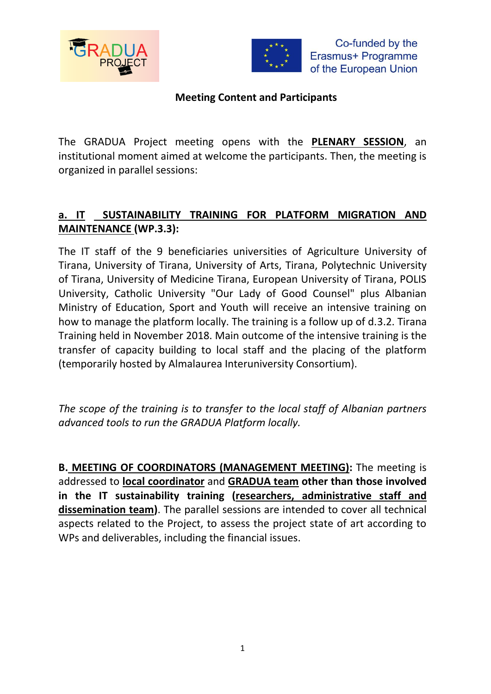



### **Meeting Content and Participants**

The GRADUA Project meeting opens with the **PLENARY SESSION**, an institutional moment aimed at welcome the participants. Then, the meeting is organized in parallel sessions:

## **a. IT SUSTAINABILITY TRAINING FOR PLATFORM MIGRATION AND MAINTENANCE (WP.3.3):**

The IT staff of the 9 beneficiaries universities of Agriculture University of Tirana, University of Tirana, University of Arts, Tirana, Polytechnic University of Tirana, University of Medicine Tirana, European University of Tirana, POLIS University, Catholic University "Our Lady of Good Counsel" plus Albanian Ministry of Education, Sport and Youth will receive an intensive training on how to manage the platform locally. The training is a follow up of d.3.2. Tirana Training held in November 2018. Main outcome of the intensive training is the transfer of capacity building to local staff and the placing of the platform (temporarily hosted by Almalaurea Interuniversity Consortium).

*The scope of the training is to transfer to the local staff of Albanian partners advanced tools to run the GRADUA Platform locally.* 

**B. MEETING OF COORDINATORS (MANAGEMENT MEETING):** The meeting is addressed to **local coordinator** and **GRADUA team other than those involved in the IT sustainability training (researchers, administrative staff and dissemination team)**. The parallel sessions are intended to cover all technical aspects related to the Project, to assess the project state of art according to WPs and deliverables, including the financial issues.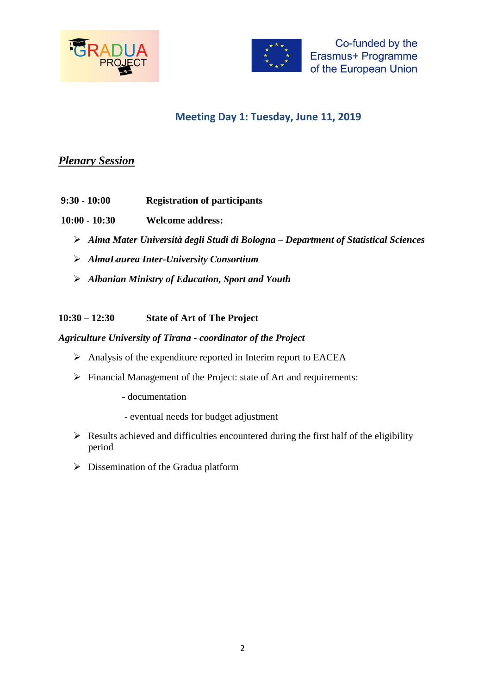



## **Meeting Day 1: Tuesday, June 11, 2019**

### *Plenary Session*

- **9:30 - 10:00 Registration of participants**
- **10:00 - 10:30 Welcome address:** 
	- ➢ *Alma Mater Università degli Studi di Bologna – Department of Statistical Sciences*
	- ➢ *AlmaLaurea Inter-University Consortium*
	- ➢ *Albanian Ministry of Education, Sport and Youth*

**10:30 – 12:30 State of Art of The Project**

*Agriculture University of Tirana - coordinator of the Project*

- ➢ Analysis of the expenditure reported in Interim report to EACEA
- ➢ Financial Management of the Project: state of Art and requirements:
	- documentation
	- eventual needs for budget adjustment
- $\triangleright$  Results achieved and difficulties encountered during the first half of the eligibility period
- ➢ Dissemination of the Gradua platform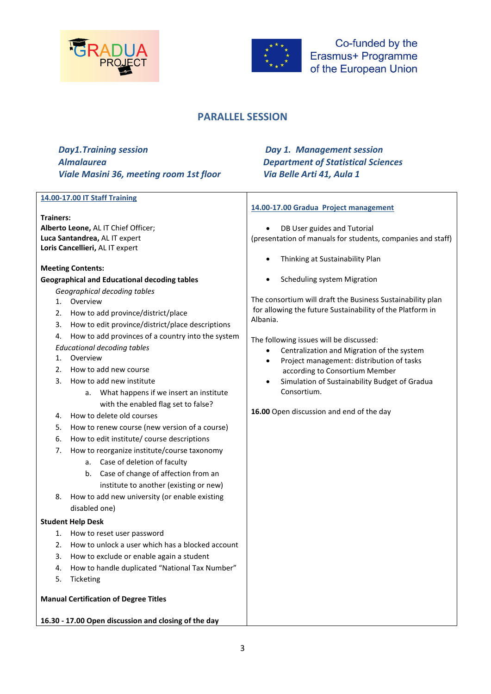



### **PARALLEL SESSION**

| <b>Day1.Training session</b>                   |
|------------------------------------------------|
| <b>Almalaurea</b>                              |
| <b>Viale Masini 36, meeting room 1st floor</b> |

### *Day 1. Management session* **Department of Statistical Sciences** *Viale Masini 36, meeting room 1st floor Via Belle Arti 41, Aula 1*

| 14.00-17.00 Gradua Project management                                                                                   |                                                             |  |
|-------------------------------------------------------------------------------------------------------------------------|-------------------------------------------------------------|--|
| <b>Trainers:</b>                                                                                                        |                                                             |  |
| Alberto Leone, AL IT Chief Officer;                                                                                     | DB User guides and Tutorial                                 |  |
| Luca Santandrea, AL IT expert<br>Loris Cancellieri, AL IT expert                                                        | (presentation of manuals for students, companies and staff) |  |
|                                                                                                                         |                                                             |  |
| Thinking at Sustainability Plan<br><b>Meeting Contents:</b>                                                             |                                                             |  |
| <b>Scheduling system Migration</b><br><b>Geographical and Educational decoding tables</b>                               |                                                             |  |
| Geographical decoding tables                                                                                            |                                                             |  |
| The consortium will draft the Business Sustainability plan<br>Overview<br>1.                                            |                                                             |  |
| for allowing the future Sustainability of the Platform in<br>How to add province/district/place<br>2.                   |                                                             |  |
| Albania.<br>How to edit province/district/place descriptions<br>3.                                                      |                                                             |  |
| How to add provinces of a country into the system<br>4.                                                                 |                                                             |  |
| The following issues will be discussed:<br><b>Educational decoding tables</b>                                           |                                                             |  |
| Overview<br>1.                                                                                                          | Centralization and Migration of the system                  |  |
| Project management: distribution of tasks<br>$\bullet$<br>How to add new course<br>2.<br>according to Consortium Member |                                                             |  |
| How to add new institute<br>3.<br>Simulation of Sustainability Budget of Gradua<br>$\bullet$                            |                                                             |  |
| Consortium.<br>a. What happens if we insert an institute                                                                |                                                             |  |
| with the enabled flag set to false?                                                                                     |                                                             |  |
| 16.00 Open discussion and end of the day<br>How to delete old courses<br>4.                                             |                                                             |  |
| How to renew course (new version of a course)<br>5.                                                                     |                                                             |  |
| How to edit institute/ course descriptions<br>6.                                                                        |                                                             |  |
| How to reorganize institute/course taxonomy<br>7.                                                                       |                                                             |  |
| a. Case of deletion of faculty                                                                                          |                                                             |  |
| Case of change of affection from an<br>b.                                                                               |                                                             |  |
| institute to another (existing or new)                                                                                  |                                                             |  |
| How to add new university (or enable existing<br>8.                                                                     |                                                             |  |
| disabled one)                                                                                                           |                                                             |  |
|                                                                                                                         |                                                             |  |
| <b>Student Help Desk</b>                                                                                                |                                                             |  |
| 1. How to reset user password                                                                                           |                                                             |  |
| How to unlock a user which has a blocked account<br>2.                                                                  |                                                             |  |
| How to exclude or enable again a student<br>3.                                                                          |                                                             |  |
| How to handle duplicated "National Tax Number"<br>4.                                                                    |                                                             |  |
| Ticketing<br>5.                                                                                                         |                                                             |  |
| <b>Manual Certification of Degree Titles</b>                                                                            |                                                             |  |
|                                                                                                                         |                                                             |  |
| 16.30 - 17.00 Open discussion and closing of the day                                                                    |                                                             |  |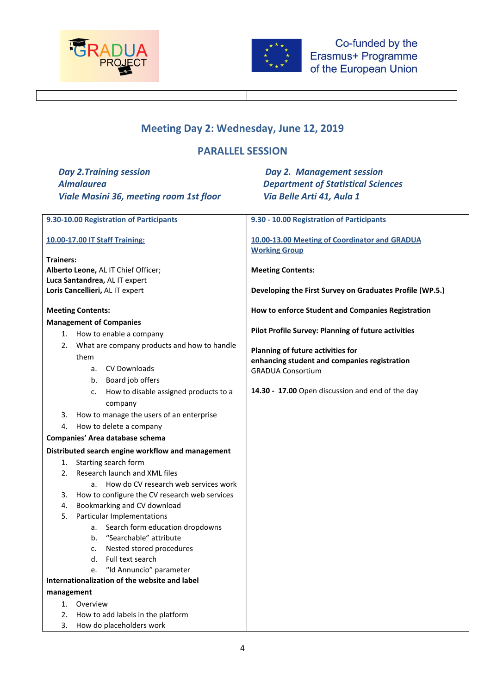



## **Meeting Day 2: Wednesday, June 12, 2019**

## **PARALLEL SESSION**

| <b>Day 2. Training session</b>                           | <b>Day 2. Management session</b>                                                  |  |
|----------------------------------------------------------|-----------------------------------------------------------------------------------|--|
| <b>Almalaurea</b>                                        | <b>Department of Statistical Sciences</b>                                         |  |
| <b>Viale Masini 36, meeting room 1st floor</b>           | Via Belle Arti 41, Aula 1                                                         |  |
|                                                          |                                                                                   |  |
| 9.30-10.00 Registration of Participants                  | 9.30 - 10.00 Registration of Participants                                         |  |
|                                                          |                                                                                   |  |
| <b>10.00-17.00 IT Staff Training:</b>                    | 10.00-13.00 Meeting of Coordinator and GRADUA<br><b>Working Group</b>             |  |
| <b>Trainers:</b>                                         |                                                                                   |  |
| Alberto Leone, AL IT Chief Officer;                      | <b>Meeting Contents:</b>                                                          |  |
| Luca Santandrea, AL IT expert                            |                                                                                   |  |
| Loris Cancellieri, AL IT expert                          | Developing the First Survey on Graduates Profile (WP.5.)                          |  |
| <b>Meeting Contents:</b>                                 | How to enforce Student and Companies Registration                                 |  |
| <b>Management of Companies</b>                           |                                                                                   |  |
| 1. How to enable a company                               | Pilot Profile Survey: Planning of future activities                               |  |
| What are company products and how to handle<br>2.        |                                                                                   |  |
| them                                                     | Planning of future activities for<br>enhancing student and companies registration |  |
| CV Downloads<br>a.                                       | <b>GRADUA Consortium</b>                                                          |  |
| b. Board job offers                                      |                                                                                   |  |
| How to disable assigned products to a<br>c.              | 14.30 - 17.00 Open discussion and end of the day                                  |  |
| company                                                  |                                                                                   |  |
| How to manage the users of an enterprise<br>3.           |                                                                                   |  |
| How to delete a company<br>4.                            |                                                                                   |  |
| Companies' Area database schema                          |                                                                                   |  |
| Distributed search engine workflow and management        |                                                                                   |  |
| Starting search form<br>1.                               |                                                                                   |  |
| Research launch and XML files<br>2.                      |                                                                                   |  |
| How do CV research web services work<br>a.               |                                                                                   |  |
| How to configure the CV research web services<br>3.      |                                                                                   |  |
| Bookmarking and CV download<br>4.                        |                                                                                   |  |
| Particular Implementations<br>5.                         |                                                                                   |  |
| a. Search form education dropdowns                       |                                                                                   |  |
| "Searchable" attribute                                   |                                                                                   |  |
| Nested stored procedures<br>c.<br>Full text search<br>d. |                                                                                   |  |
| "Id Annuncio" parameter<br>e.                            |                                                                                   |  |
| Internationalization of the website and label            |                                                                                   |  |
| management                                               |                                                                                   |  |
| Overview<br>1.                                           |                                                                                   |  |
| 2.<br>How to add labels in the platform                  |                                                                                   |  |
| How do placeholders work<br>3.                           |                                                                                   |  |
|                                                          |                                                                                   |  |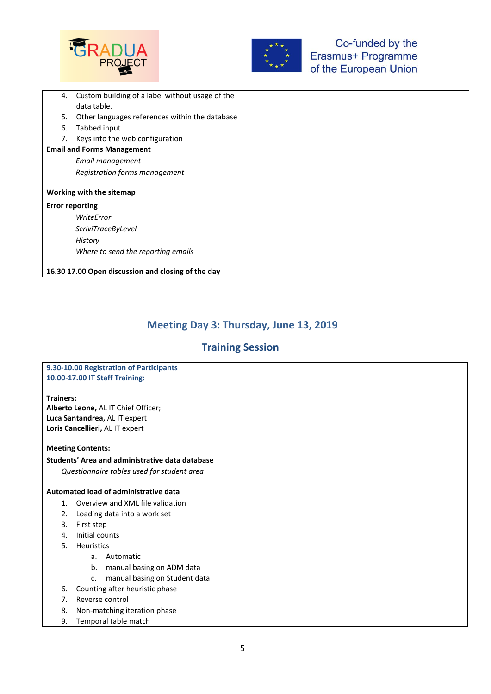



| 4.                     | Custom building of a label without usage of the    |
|------------------------|----------------------------------------------------|
|                        | data table.                                        |
| 5.                     | Other languages references within the database     |
| 6.                     | Tabbed input                                       |
| 7.                     | Keys into the web configuration                    |
|                        | <b>Email and Forms Management</b>                  |
|                        | Email management                                   |
|                        | Registration forms management                      |
|                        |                                                    |
|                        | Working with the sitemap                           |
| <b>Error reporting</b> |                                                    |
|                        | WriteError                                         |
|                        | <i>ScriviTraceByLevel</i>                          |
|                        | History                                            |
|                        | Where to send the reporting emails                 |
|                        |                                                    |
|                        | 16.30 17.00 Open discussion and closing of the day |

### **Meeting Day 3: Thursday, June 13, 2019**

### **Training Session**

#### **9.30-10.00 Registration of Participants 10.00-17.00 IT Staff Training:**

#### **Trainers:**

**Alberto Leone,** AL IT Chief Officer; **Luca Santandrea,** AL IT expert **Loris Cancellieri,** AL IT expert

#### **Meeting Contents:**

#### **Students' Area and administrative data database**

*Questionnaire tables used for student area*

#### **Automated load of administrative data**

- 1. Overview and XML file validation
- 2. Loading data into a work set
- 3. First step
- 4. Initial counts
- 5. Heuristics
	- a. Automatic
	- b. manual basing on ADM data
	- c. manual basing on Student data
- 6. Counting after heuristic phase
- 7. Reverse control
- 8. Non-matching iteration phase
- 9. Temporal table match